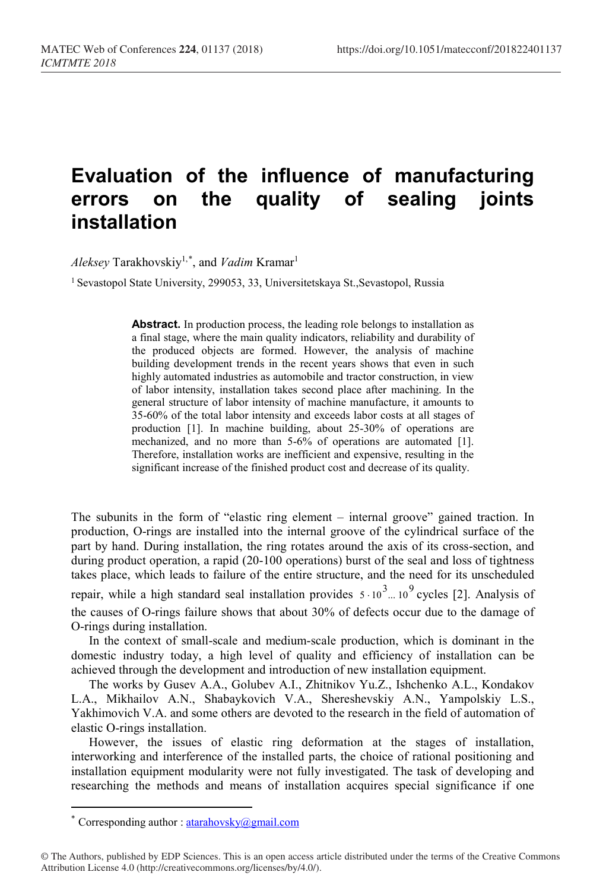## **Evaluation of the influence of manufacturing errors on the quality of sealing joints installation**

 $Aleksey$  Tarakhovskiy<sup>1,[\\*](#page-0-0)</sup>, and *Vadim* Kramar<sup>1</sup>

<sup>1</sup> Sevastopol State University, 299053, 33, Universitetskaya St., Sevastopol, Russia

**Abstract.** In production process, the leading role belongs to installation as a final stage, where the main quality indicators, reliability and durability of the produced objects are formed. However, the analysis of machine building development trends in the recent years shows that even in such highly automated industries as automobile and tractor construction, in view of labor intensity, installation takes second place after machining. In the general structure of labor intensity of machine manufacture, it amounts to 35-60% of the total labor intensity and exceeds labor costs at all stages of production [1]. In machine building, about 25-30% of operations are mechanized, and no more than 5-6% of operations are automated [1]. Therefore, installation works are inefficient and expensive, resulting in the significant increase of the finished product cost and decrease of its quality.

The subunits in the form of "elastic ring element – internal groove" gained traction. In production, O-rings are installed into the internal groove of the cylindrical surface of the part by hand. During installation, the ring rotates around the axis of its cross-section, and during product operation, a rapid (20-100 operations) burst of the seal and loss of tightness takes place, which leads to failure of the entire structure, and the need for its unscheduled repair, while a high standard seal installation provides  $5 \cdot 10^3$ ... 10<sup>9</sup> cycles [2]. Analysis of the causes of O-rings failure shows that about 30% of defects occur due to the damage of O-rings during installation.

In the context of small-scale and medium-scale production, which is dominant in the domestic industry today, a high level of quality and efficiency of installation can be achieved through the development and introduction of new installation equipment.

The works by Gusev A.A., Golubev A.I., Zhitnikov Yu.Z., Ishchenko A.L., Kondakov L.A., Mikhailov A.N., Shabaykovich V.A., Shereshevskiy A.N., Yampolskiy L.S., Yakhimovich V.A. and some others are devoted to the research in the field of automation of elastic O-rings installation.

However, the issues of elastic ring deformation at the stages of installation, interworking and interference of the installed parts, the choice of rational positioning and installation equipment modularity were not fully investigated. The task of developing and researching the methods and means of installation acquires special significance if one

 $\overline{a}$ 

Corresponding author : atarahovsky@gmail.com

<span id="page-0-0"></span><sup>©</sup> The Authors, published by EDP Sciences. This is an open access article distributed under the terms of the Creative Commons Attribution License 4.0 (http://creativecommons.org/licenses/by/4.0/).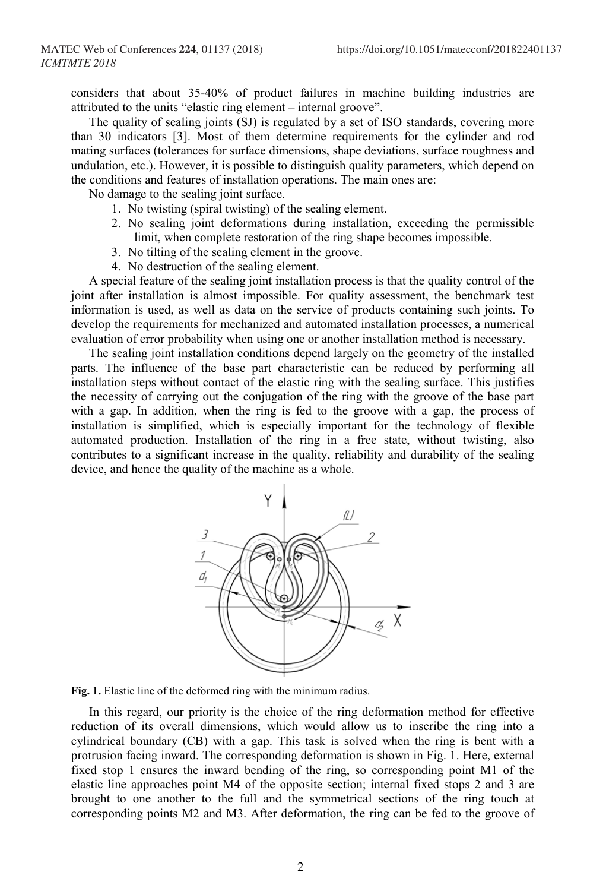considers that about 35-40% of product failures in machine building industries are attributed to the units "elastic ring element – internal groove".

The quality of sealing joints (SJ) is regulated by a set of ISO standards, covering more than 30 indicators [3]. Most of them determine requirements for the cylinder and rod mating surfaces (tolerances for surface dimensions, shape deviations, surface roughness and undulation, etc.). However, it is possible to distinguish quality parameters, which depend on the conditions and features of installation operations. The main ones are:

No damage to the sealing joint surface.

- 1. No twisting (spiral twisting) of the sealing element.
- 2. No sealing joint deformations during installation, exceeding the permissible limit, when complete restoration of the ring shape becomes impossible.
- 3. No tilting of the sealing element in the groove.
- 4. No destruction of the sealing element.

A special feature of the sealing joint installation process is that the quality control of the joint after installation is almost impossible. For quality assessment, the benchmark test information is used, as well as data on the service of products containing such joints. To develop the requirements for mechanized and automated installation processes, a numerical evaluation of error probability when using one or another installation method is necessary.

The sealing joint installation conditions depend largely on the geometry of the installed parts. The influence of the base part characteristic can be reduced by performing all installation steps without contact of the elastic ring with the sealing surface. This justifies the necessity of carrying out the conjugation of the ring with the groove of the base part with a gap. In addition, when the ring is fed to the groove with a gap, the process of installation is simplified, which is especially important for the technology of flexible automated production. Installation of the ring in a free state, without twisting, also contributes to a significant increase in the quality, reliability and durability of the sealing device, and hence the quality of the machine as a whole.



**Fig. 1.** Elastic line of the deformed ring with the minimum radius.

In this regard, our priority is the choice of the ring deformation method for effective reduction of its overall dimensions, which would allow us to inscribe the ring into a cylindrical boundary (CB) with a gap. This task is solved when the ring is bent with a protrusion facing inward. The corresponding deformation is shown in Fig. 1. Here, external fixed stop 1 ensures the inward bending of the ring, so corresponding point М1 of the elastic line approaches point М4 of the opposite section; internal fixed stops 2 and 3 are brought to one another to the full and the symmetrical sections of the ring touch at corresponding points М2 and М3. After deformation, the ring can be fed to the groove of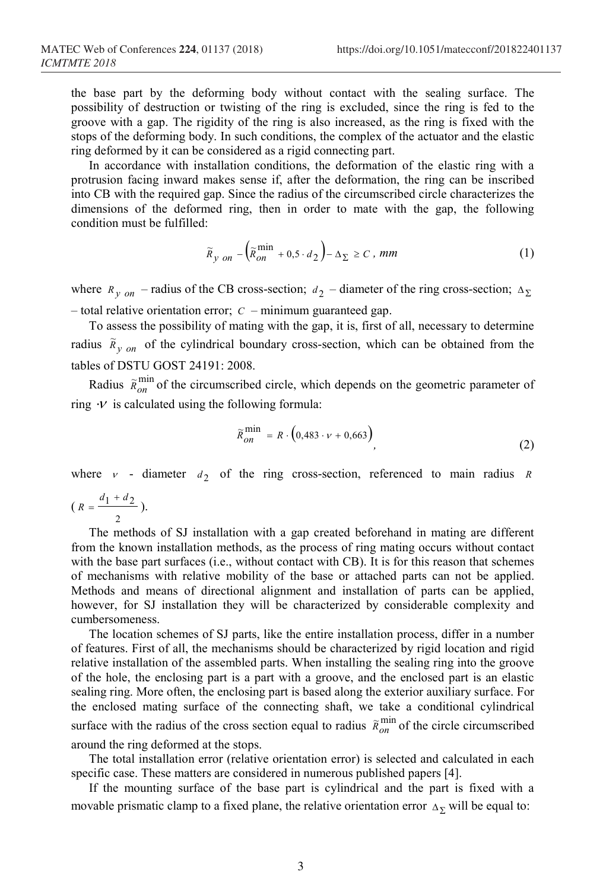the base part by the deforming body without contact with the sealing surface. The possibility of destruction or twisting of the ring is excluded, since the ring is fed to the groove with a gap. The rigidity of the ring is also increased, as the ring is fixed with the stops of the deforming body. In such conditions, the complex of the actuator and the elastic ring deformed by it can be considered as a rigid connecting part.

In accordance with installation conditions, the deformation of the elastic ring with a protrusion facing inward makes sense if, after the deformation, the ring can be inscribed into CB with the required gap. Since the radius of the circumscribed circle characterizes the dimensions of the deformed ring, then in order to mate with the gap, the following condition must be fulfilled:

$$
\widetilde{R}_{y \text{ on }} -\left(\widetilde{R}_{\text{on }}^{\text{min}} + 0.5 \cdot d_2\right) - \Delta_{\Sigma} \ge C, \text{ mm}
$$
\n(1)

where  $R_{v \text{ on}}$  – radius of the CB cross-section;  $d_2$  – diameter of the ring cross-section;  $\Delta_{\Sigma}$ – total relative orientation error; *C* – minimum guaranteed gap.

To assess the possibility of mating with the gap, it is, first of all, necessary to determine radius  $\tilde{R}_{y \text{ on }}$  of the cylindrical boundary cross-section, which can be obtained from the tables of DSTU GOST 24191: 2008.

Radius  $\tilde{R}_{on}^{\min}$  of the circumscribed circle, which depends on the geometric parameter of ring  $\cdot$ *V* is calculated using the following formula:

$$
\widetilde{R}_{on}^{\min} = R \cdot \left(0,483 \cdot \nu + 0,663\right),\tag{2}
$$

where  $v$  - diameter  $d_2$  of the ring cross-section, referenced to main radius *R* 

$$
\left(\,R=\frac{d_1+d_2}{2}\,\right).
$$

The methods of SJ installation with a gap created beforehand in mating are different from the known installation methods, as the process of ring mating occurs without contact with the base part surfaces (i.e., without contact with CB). It is for this reason that schemes of mechanisms with relative mobility of the base or attached parts can not be applied. Methods and means of directional alignment and installation of parts can be applied, however, for SJ installation they will be characterized by considerable complexity and cumbersomeness.

The location schemes of SJ parts, like the entire installation process, differ in a number of features. First of all, the mechanisms should be characterized by rigid location and rigid relative installation of the assembled parts. When installing the sealing ring into the groove of the hole, the enclosing part is a part with a groove, and the enclosed part is an elastic sealing ring. More often, the enclosing part is based along the exterior auxiliary surface. For the enclosed mating surface of the connecting shaft, we take a conditional cylindrical surface with the radius of the cross section equal to radius  $\tilde{R}_{on}^{\min}$  of the circle circumscribed around the ring deformed at the stops.

The total installation error (relative orientation error) is selected and calculated in each specific case. These matters are considered in numerous published papers [4].

If the mounting surface of the base part is cylindrical and the part is fixed with a movable prismatic clamp to a fixed plane, the relative orientation error  $\Delta_{\Sigma}$  will be equal to: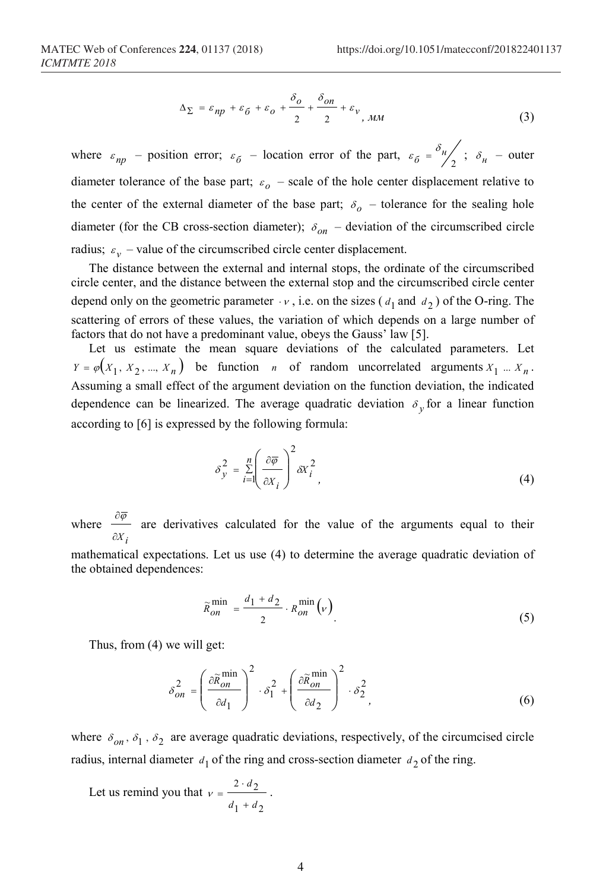$$
\Delta_{\Sigma} = \varepsilon_{np} + \varepsilon_0 + \varepsilon_0 + \frac{\delta_0}{2} + \frac{\delta_{on}}{2} + \varepsilon_{v,MM}
$$
\n(3)

where  $\varepsilon_{np}$  – position error;  $\varepsilon_{\delta}$  – location error of the part,  $\varepsilon_{\delta} = \frac{\delta_{n}}{2}$ ;  $\delta_{n}$  – outer diameter tolerance of the base part;  $\varepsilon_o$  – scale of the hole center displacement relative to the center of the external diameter of the base part;  $\delta_{\rho}$  – tolerance for the sealing hole diameter (for the CB cross-section diameter);  $\delta_{on}$  – deviation of the circumscribed circle radius;  $\varepsilon_v$  – value of the circumscribed circle center displacement.

The distance between the external and internal stops, the ordinate of the circumscribed circle center, and the distance between the external stop and the circumscribed circle center depend only on the geometric parameter  $\cdot v$ , i.e. on the sizes ( $d_1$  and  $d_2$ ) of the O-ring. The scattering of errors of these values, the variation of which depends on a large number of factors that do not have a predominant value, obeys the Gauss' law [5].

Let us estimate the mean square deviations of the calculated parameters. Let  $Y = \varphi(X_1, X_2, ..., X_n)$  be function *n* of random uncorrelated arguments  $X_1 ... X_n$ . Assuming a small effect of the argument deviation on the function deviation, the indicated dependence can be linearized. The average quadratic deviation  $\delta_{\nu}$  for a linear function according to [6] is expressed by the following formula:

$$
\delta_y^2 = \sum_{i=1}^n \left( \frac{\partial \overline{\varphi}}{\partial x_i} \right)^2 \delta x_i^2 \tag{4}
$$

where *i* ∂*X*  $\frac{\partial \overline{\varphi}}{\partial t}$  are derivatives calculated for the value of the arguments equal to their mathematical expectations. Let us use (4) to determine the average quadratic deviation of the obtained dependences:

$$
\widetilde{R}_{on}^{\min} = \frac{d_1 + d_2}{2} \cdot R_{on}^{\min}(\nu) \tag{5}
$$

Thus, from (4) we will get:

$$
\delta_{on}^2 = \left(\frac{\partial \widetilde{R}_{on}}{\partial d_1}\right)^2 \cdot \delta_1^2 + \left(\frac{\partial \widetilde{R}_{on}}{\partial d_2}\right)^2 \cdot \delta_2^2,
$$
\n(6)

where  $\delta_{on}$ ,  $\delta_1$ ,  $\delta_2$  are average quadratic deviations, respectively, of the circumcised circle radius, internal diameter  $d_1$  of the ring and cross-section diameter  $d_2$  of the ring.

Let us remind you that 
$$
v = \frac{2 \cdot d_2}{d_1 + d_2}
$$
.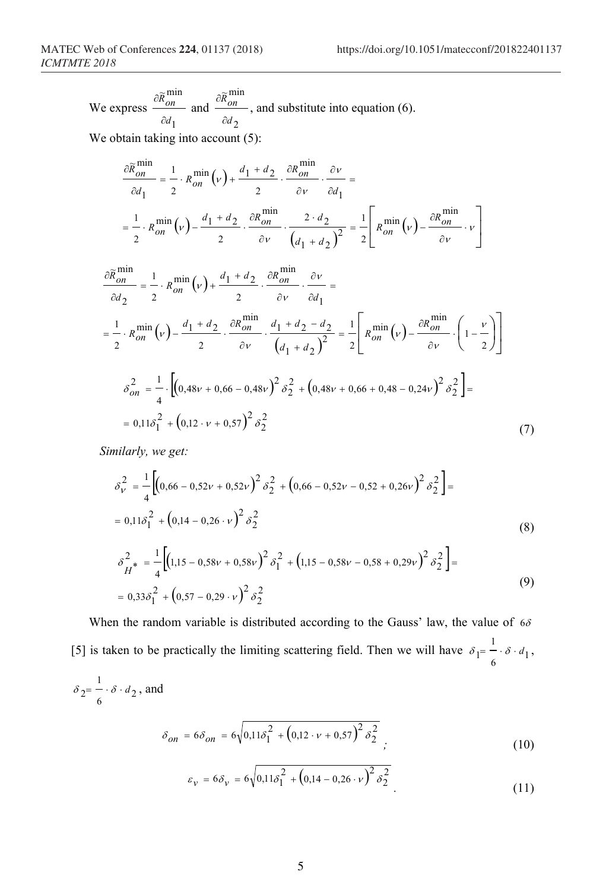We express 
$$
\frac{\partial \widetilde{R}_{on}}{\partial d_1}
$$
 and  $\frac{\partial \widetilde{R}_{on}}{\partial d_2}$ , and substitute into equation (6).

We obtain taking into account (5):

$$
\frac{\partial \widetilde{R}_{on}^{\min}}{\partial d_1} = \frac{1}{2} \cdot R_{on}^{\min}(\nu) + \frac{d_1 + d_2}{2} \cdot \frac{\partial R_{on}^{\min}}{\partial \nu} \cdot \frac{\partial \nu}{\partial d_1} =
$$
\n
$$
= \frac{1}{2} \cdot R_{on}^{\min}(\nu) - \frac{d_1 + d_2}{2} \cdot \frac{\partial R_{on}^{\min}}{\partial \nu} \cdot \frac{2 \cdot d_2}{\left(d_1 + d_2\right)^2} = \frac{1}{2} \left[ R_{on}^{\min}(\nu) - \frac{\partial R_{on}^{\min}}{\partial \nu} \cdot \nu \right]
$$

$$
\frac{\partial \widetilde{R}_{on}}{\partial d_{2}} = \frac{1}{2} \cdot R_{on}^{\min}(\nu) + \frac{d_{1} + d_{2}}{2} \cdot \frac{\partial R_{on}^{\min}}{\partial \nu} \cdot \frac{\partial \nu}{\partial d_{1}} =
$$
\n
$$
= \frac{1}{2} \cdot R_{on}^{\min}(\nu) - \frac{d_{1} + d_{2}}{2} \cdot \frac{\partial R_{on}^{\min}}{\partial \nu} \cdot \frac{d_{1} + d_{2} - d_{2}}{(d_{1} + d_{2})^{2}} = \frac{1}{2} \left[ R_{on}^{\min}(\nu) - \frac{\partial R_{on}^{\min}}{\partial \nu} \cdot \left( 1 - \frac{\nu}{2} \right) \right]
$$
\n
$$
\delta_{on}^{2} = \frac{1}{4} \cdot \left[ \left( 0, 48\nu + 0, 66 - 0, 48\nu \right)^{2} \delta_{2}^{2} + \left( 0, 48\nu + 0, 66 + 0, 48 - 0, 24\nu \right)^{2} \delta_{2}^{2} \right] =
$$
\n
$$
= 0, 11\delta_{1}^{2} + \left( 0, 12 \cdot \nu + 0, 57 \right)^{2} \delta_{2}^{2}
$$
\n(7)

*Similarly, we get:*

$$
\delta_V^2 = \frac{1}{4} \left[ \left( 0,66 - 0,52v + 0,52v \right)^2 \delta_2^2 + \left( 0,66 - 0,52v - 0,52 + 0,26v \right)^2 \delta_2^2 \right] =
$$
  
= 0,11 $\delta_1^2$  +  $\left( 0,14 - 0,26 \cdot v \right)^2 \delta_2^2$  (8)

$$
\delta_{H^*}^2 = \frac{1}{4} \Big[ (1, 15 - 0, 58v + 0, 58v)^2 \delta_1^2 + (1, 15 - 0, 58v - 0, 58 + 0, 29v)^2 \delta_2^2 \Big] =
$$
  
= 0,33 $\delta_1^2$  + (0,57 - 0,29 · v)<sup>2</sup>  $\delta_2^2$  (9)

When the random variable is distributed according to the Gauss' law, the value of  $6\delta$ [5] is taken to be practically the limiting scattering field. Then we will have  $\delta_1 = -\delta \cdot d_1$  $\delta_1 = \frac{1}{\epsilon} \cdot \delta \cdot d_1,$  $\delta_2 = \frac{1}{\epsilon} \cdot \delta \cdot d_2$ , and

$$
\delta_{on} = 6\delta_{on} = 6\sqrt{0.11\delta_1^2 + (0.12 \cdot v + 0.57)^2 \delta_2^2}
$$
 (10)

$$
\varepsilon_{\nu} = 6\delta_{\nu} = 6\sqrt{0.11\delta_1^2 + \left(0.14 - 0.26 \cdot \nu\right)^2 \delta_2^2}
$$
\n(11)